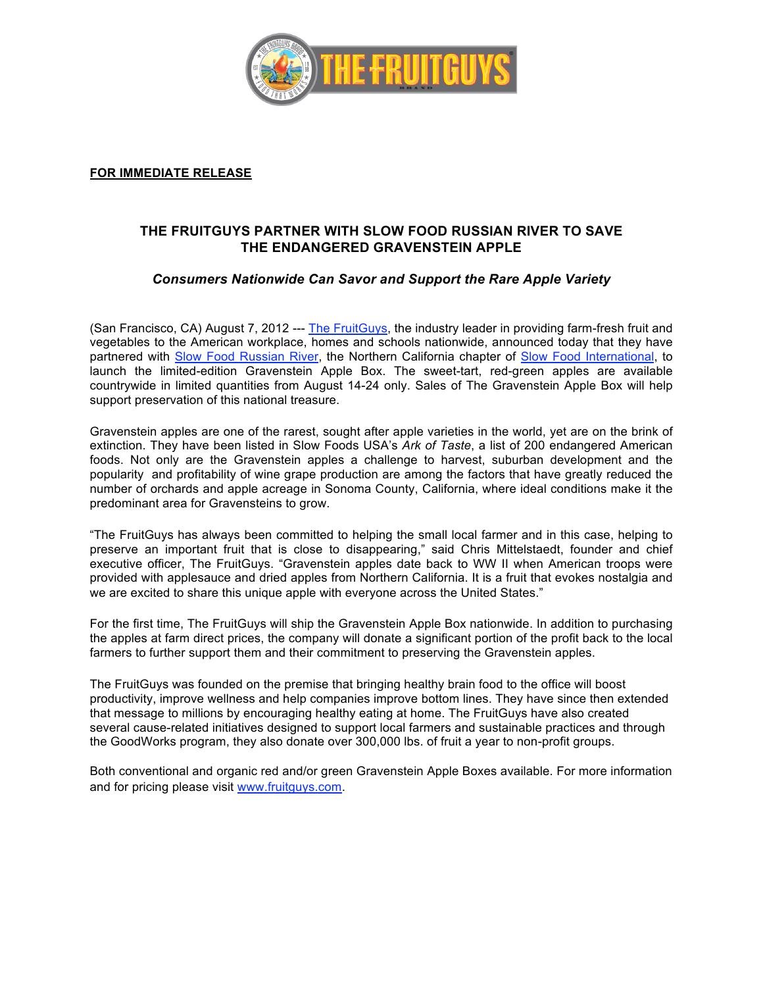

#### **FOR IMMEDIATE RELEASE**

# **THE FRUITGUYS PARTNER WITH SLOW FOOD RUSSIAN RIVER TO SAVE THE ENDANGERED GRAVENSTEIN APPLE**

## *Consumers Nationwide Can Savor and Support the Rare Apple Variety*

(San Francisco, CA) August 7, 2012 --- The FruitGuys, the industry leader in providing farm-fresh fruit and vegetables to the American workplace, homes and schools nationwide, announced today that they have partnered with Slow Food Russian River, the Northern California chapter of Slow Food International, to launch the limited-edition Gravenstein Apple Box. The sweet-tart, red-green apples are available countrywide in limited quantities from August 14-24 only. Sales of The Gravenstein Apple Box will help support preservation of this national treasure.

Gravenstein apples are one of the rarest, sought after apple varieties in the world, yet are on the brink of extinction. They have been listed in Slow Foods USA's *Ark of Taste*, a list of 200 endangered American foods. Not only are the Gravenstein apples a challenge to harvest, suburban development and the popularity and profitability of wine grape production are among the factors that have greatly reduced the number of orchards and apple acreage in Sonoma County, California, where ideal conditions make it the predominant area for Gravensteins to grow.

"The FruitGuys has always been committed to helping the small local farmer and in this case, helping to preserve an important fruit that is close to disappearing," said Chris Mittelstaedt, founder and chief executive officer, The FruitGuys. "Gravenstein apples date back to WW II when American troops were provided with applesauce and dried apples from Northern California. It is a fruit that evokes nostalgia and we are excited to share this unique apple with everyone across the United States."

For the first time, The FruitGuys will ship the Gravenstein Apple Box nationwide. In addition to purchasing the apples at farm direct prices, the company will donate a significant portion of the profit back to the local farmers to further support them and their commitment to preserving the Gravenstein apples.

The FruitGuys was founded on the premise that bringing healthy brain food to the office will boost productivity, improve wellness and help companies improve bottom lines. They have since then extended that message to millions by encouraging healthy eating at home. The FruitGuys have also created several cause-related initiatives designed to support local farmers and sustainable practices and through the GoodWorks program, they also donate over 300,000 lbs. of fruit a year to non-profit groups.

Both conventional and organic red and/or green Gravenstein Apple Boxes available. For more information and for pricing please visit www.fruitguys.com.